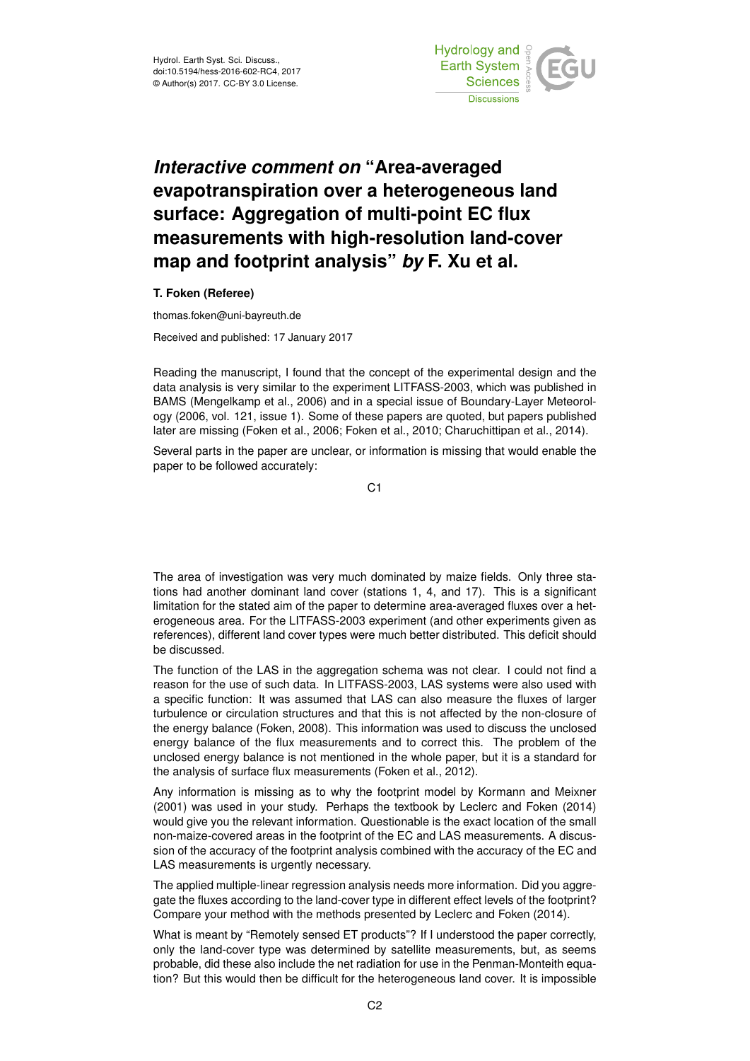

## *Interactive comment on* **"Area-averaged evapotranspiration over a heterogeneous land surface: Aggregation of multi-point EC flux measurements with high-resolution land-cover map and footprint analysis"** *by* **F. Xu et al.**

## **T. Foken (Referee)**

thomas.foken@uni-bayreuth.de

Received and published: 17 January 2017

Reading the manuscript, I found that the concept of the experimental design and the data analysis is very similar to the experiment LITFASS-2003, which was published in BAMS (Mengelkamp et al., 2006) and in a special issue of Boundary-Layer Meteorology (2006, vol. 121, issue 1). Some of these papers are quoted, but papers published later are missing (Foken et al., 2006; Foken et al., 2010; Charuchittipan et al., 2014).

Several parts in the paper are unclear, or information is missing that would enable the paper to be followed accurately:

C1

The area of investigation was very much dominated by maize fields. Only three stations had another dominant land cover (stations 1, 4, and 17). This is a significant limitation for the stated aim of the paper to determine area-averaged fluxes over a heterogeneous area. For the LITFASS-2003 experiment (and other experiments given as references), different land cover types were much better distributed. This deficit should be discussed.

The function of the LAS in the aggregation schema was not clear. I could not find a reason for the use of such data. In LITFASS-2003, LAS systems were also used with a specific function: It was assumed that LAS can also measure the fluxes of larger turbulence or circulation structures and that this is not affected by the non-closure of the energy balance (Foken, 2008). This information was used to discuss the unclosed energy balance of the flux measurements and to correct this. The problem of the unclosed energy balance is not mentioned in the whole paper, but it is a standard for the analysis of surface flux measurements (Foken et al., 2012).

Any information is missing as to why the footprint model by Kormann and Meixner (2001) was used in your study. Perhaps the textbook by Leclerc and Foken (2014) would give you the relevant information. Questionable is the exact location of the small non-maize-covered areas in the footprint of the EC and LAS measurements. A discussion of the accuracy of the footprint analysis combined with the accuracy of the EC and LAS measurements is urgently necessary.

The applied multiple-linear regression analysis needs more information. Did you aggregate the fluxes according to the land-cover type in different effect levels of the footprint? Compare your method with the methods presented by Leclerc and Foken (2014).

What is meant by "Remotely sensed ET products"? If I understood the paper correctly, only the land-cover type was determined by satellite measurements, but, as seems probable, did these also include the net radiation for use in the Penman-Monteith equation? But this would then be difficult for the heterogeneous land cover. It is impossible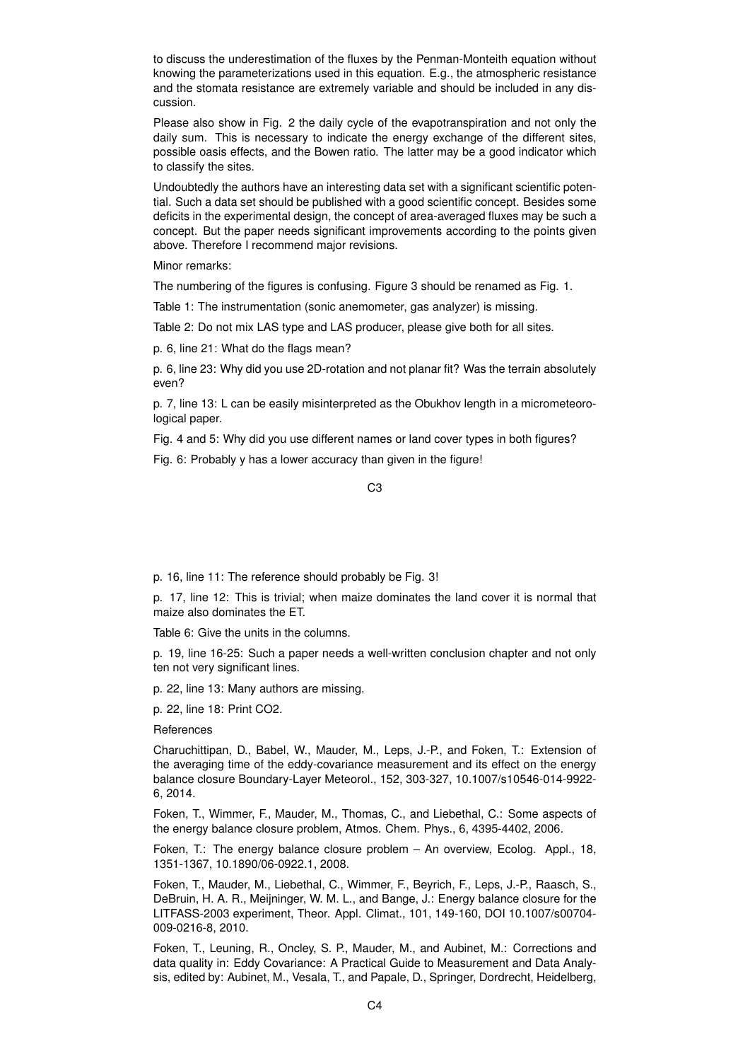to discuss the underestimation of the fluxes by the Penman-Monteith equation without knowing the parameterizations used in this equation. E.g., the atmospheric resistance and the stomata resistance are extremely variable and should be included in any discussion.

Please also show in Fig. 2 the daily cycle of the evapotranspiration and not only the daily sum. This is necessary to indicate the energy exchange of the different sites, possible oasis effects, and the Bowen ratio. The latter may be a good indicator which to classify the sites.

Undoubtedly the authors have an interesting data set with a significant scientific potential. Such a data set should be published with a good scientific concept. Besides some deficits in the experimental design, the concept of area-averaged fluxes may be such a concept. But the paper needs significant improvements according to the points given above. Therefore I recommend major revisions.

Minor remarks:

The numbering of the figures is confusing. Figure 3 should be renamed as Fig. 1.

Table 1: The instrumentation (sonic anemometer, gas analyzer) is missing.

Table 2: Do not mix LAS type and LAS producer, please give both for all sites.

p. 6, line 21: What do the flags mean?

p. 6, line 23: Why did you use 2D-rotation and not planar fit? Was the terrain absolutely even?

p. 7, line 13: L can be easily misinterpreted as the Obukhov length in a micrometeorological paper.

Fig. 4 and 5: Why did you use different names or land cover types in both figures?

Fig. 6: Probably y has a lower accuracy than given in the figure!

C3

p. 16, line 11: The reference should probably be Fig. 3!

p. 17, line 12: This is trivial; when maize dominates the land cover it is normal that maize also dominates the ET.

Table 6: Give the units in the columns.

p. 19, line 16-25: Such a paper needs a well-written conclusion chapter and not only ten not very significant lines.

p. 22, line 13: Many authors are missing.

p. 22, line 18: Print CO2.

**References** 

Charuchittipan, D., Babel, W., Mauder, M., Leps, J.-P., and Foken, T.: Extension of the averaging time of the eddy-covariance measurement and its effect on the energy balance closure Boundary-Layer Meteorol., 152, 303-327, 10.1007/s10546-014-9922- 6, 2014.

Foken, T., Wimmer, F., Mauder, M., Thomas, C., and Liebethal, C.: Some aspects of the energy balance closure problem, Atmos. Chem. Phys., 6, 4395-4402, 2006.

Foken, T.: The energy balance closure problem – An overview, Ecolog. Appl., 18, 1351-1367, 10.1890/06-0922.1, 2008.

Foken, T., Mauder, M., Liebethal, C., Wimmer, F., Beyrich, F., Leps, J.-P., Raasch, S., DeBruin, H. A. R., Meijninger, W. M. L., and Bange, J.: Energy balance closure for the LITFASS-2003 experiment, Theor. Appl. Climat., 101, 149-160, DOI 10.1007/s00704- 009-0216-8, 2010.

Foken, T., Leuning, R., Oncley, S. P., Mauder, M., and Aubinet, M.: Corrections and data quality in: Eddy Covariance: A Practical Guide to Measurement and Data Analysis, edited by: Aubinet, M., Vesala, T., and Papale, D., Springer, Dordrecht, Heidelberg,